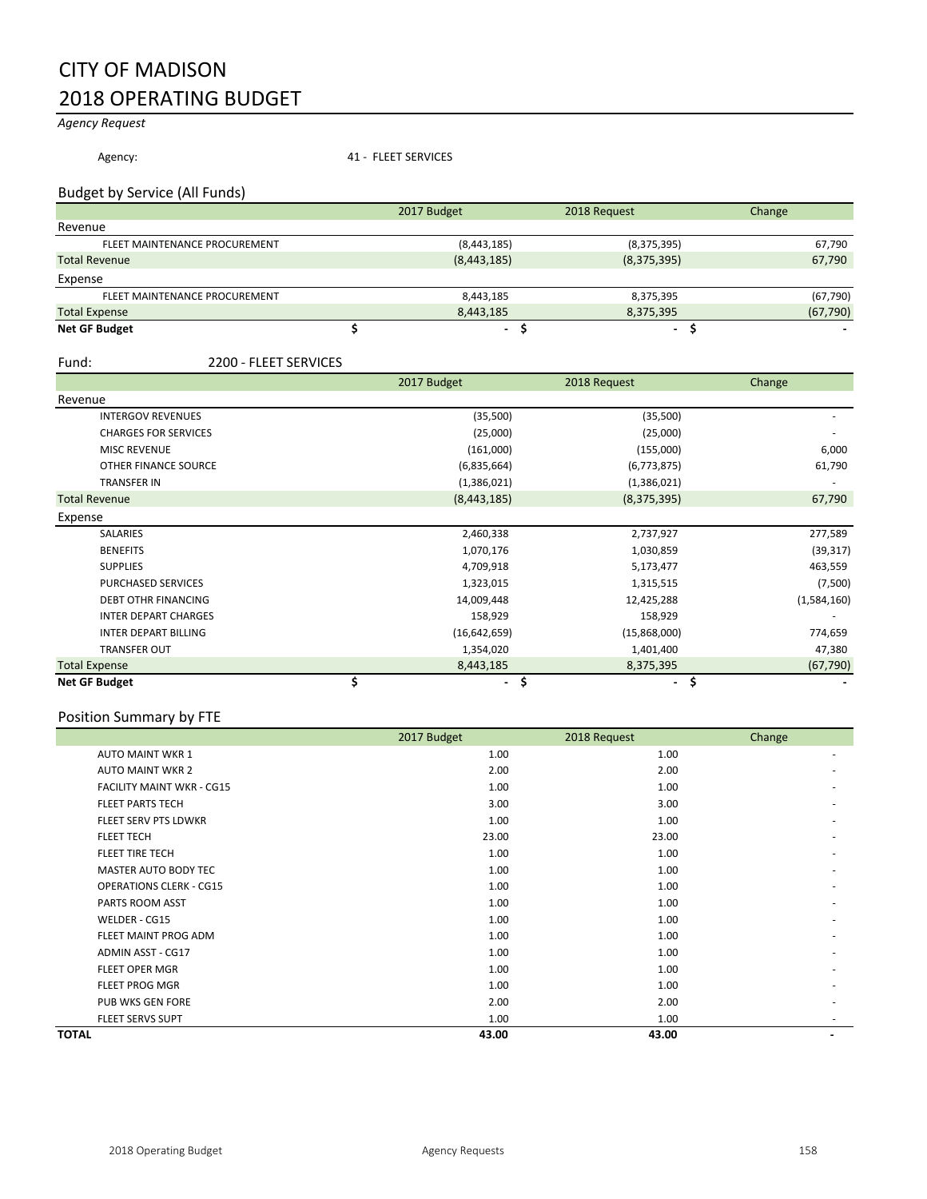## CITY OF MADISON 2018 OPERATING BUDGET

### *Agency Request*

Agency: 41 - FLEET SERVICES

### Budget by Service (All Funds)

|                               | 2017 Budget | 2018 Request | Change    |
|-------------------------------|-------------|--------------|-----------|
| Revenue                       |             |              |           |
| FLEET MAINTENANCE PROCUREMENT | (8,443,185) | (8,375,395)  | 67,790    |
| <b>Total Revenue</b>          | (8,443,185) | (8,375,395)  | 67,790    |
| Expense                       |             |              |           |
| FLEET MAINTENANCE PROCUREMENT | 8,443,185   | 8,375,395    | (67, 790) |
| <b>Total Expense</b>          | 8.443.185   | 8,375,395    | (67, 790) |
| <b>Net GF Budget</b>          |             |              |           |

#### Fund: 2200 - FLEET SERVICES

|                             | 2017 Budget          | 2018 Request         | Change      |
|-----------------------------|----------------------|----------------------|-------------|
| Revenue                     |                      |                      |             |
| <b>INTERGOV REVENUES</b>    | (35,500)             | (35,500)             |             |
| <b>CHARGES FOR SERVICES</b> | (25,000)             | (25,000)             |             |
| <b>MISC REVENUE</b>         | (161,000)            | (155,000)            | 6,000       |
| OTHER FINANCE SOURCE        | (6,835,664)          | (6,773,875)          | 61,790      |
| <b>TRANSFER IN</b>          | (1,386,021)          | (1,386,021)          |             |
| <b>Total Revenue</b>        | (8,443,185)          | (8,375,395)          | 67,790      |
| Expense                     |                      |                      |             |
| SALARIES                    | 2,460,338            | 2,737,927            | 277,589     |
| <b>BENEFITS</b>             | 1,070,176            | 1,030,859            | (39, 317)   |
| <b>SUPPLIES</b>             | 4,709,918            | 5,173,477            | 463,559     |
| <b>PURCHASED SERVICES</b>   | 1,323,015            | 1,315,515            | (7,500)     |
| <b>DEBT OTHR FINANCING</b>  | 14,009,448           | 12,425,288           | (1,584,160) |
| <b>INTER DEPART CHARGES</b> | 158,929              | 158,929              |             |
| <b>INTER DEPART BILLING</b> | (16,642,659)         | (15,868,000)         | 774,659     |
| <b>TRANSFER OUT</b>         | 1,354,020            | 1,401,400            | 47,380      |
| <b>Total Expense</b>        | 8,443,185            | 8,375,395            | (67, 790)   |
| <b>Net GF Budget</b>        | \$<br>$\blacksquare$ | \$<br>$\blacksquare$ | \$          |

### Position Summary by FTE

|       | $\cdot$                          | 2017 Budget | 2018 Request | Change |
|-------|----------------------------------|-------------|--------------|--------|
|       | <b>AUTO MAINT WKR 1</b>          | 1.00        | 1.00         |        |
|       | <b>AUTO MAINT WKR 2</b>          | 2.00        | 2.00         |        |
|       | <b>FACILITY MAINT WKR - CG15</b> | 1.00        | 1.00         |        |
|       | <b>FLEET PARTS TECH</b>          | 3.00        | 3.00         |        |
|       | <b>FLEET SERV PTS LDWKR</b>      | 1.00        | 1.00         |        |
|       | <b>FLEET TECH</b>                | 23.00       | 23.00        |        |
|       | FLEET TIRE TECH                  | 1.00        | 1.00         |        |
|       | MASTER AUTO BODY TEC             | 1.00        | 1.00         |        |
|       | <b>OPERATIONS CLERK - CG15</b>   | 1.00        | 1.00         |        |
|       | PARTS ROOM ASST                  | 1.00        | 1.00         |        |
|       | WELDER - CG15                    | 1.00        | 1.00         |        |
|       | FLEET MAINT PROG ADM             | 1.00        | 1.00         |        |
|       | <b>ADMIN ASST - CG17</b>         | 1.00        | 1.00         |        |
|       | FLEET OPER MGR                   | 1.00        | 1.00         |        |
|       | <b>FLEET PROG MGR</b>            | 1.00        | 1.00         |        |
|       | PUB WKS GEN FORE                 | 2.00        | 2.00         |        |
|       | <b>FLEET SERVS SUPT</b>          | 1.00        | 1.00         |        |
| TOTAL |                                  | 43.00       | 43.00        |        |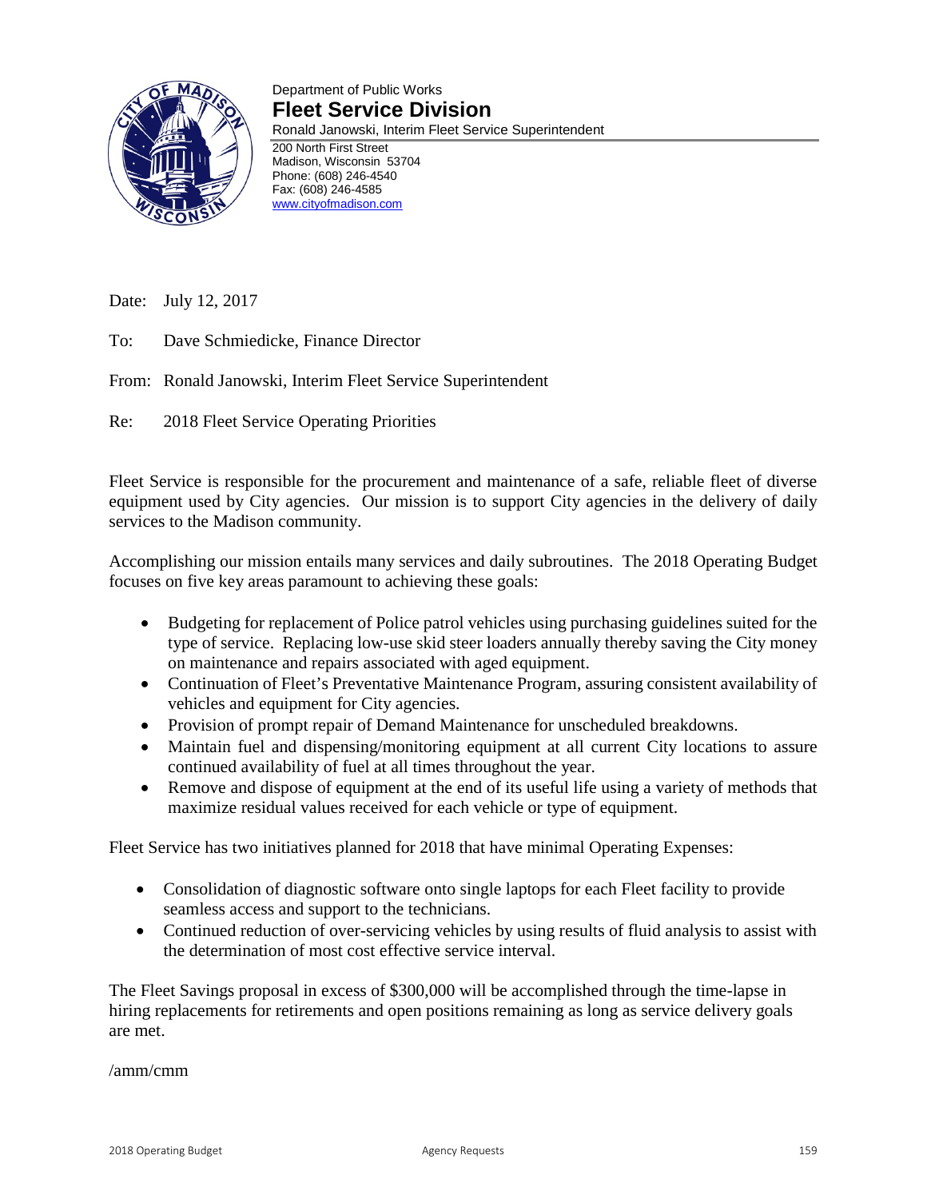

### Department of Public Works **Fleet Service Division**

Ronald Janowski, Interim Fleet Service Superintendent

200 North First Street Madison, Wisconsin 53704 Phone: (608) 246-4540 Fax: (608) 246-4585 [www.cityofmadison.com](http://www.cityofmadison.com/) 

Date: July 12, 2017

To: Dave Schmiedicke, Finance Director

From: Ronald Janowski, Interim Fleet Service Superintendent

Re: 2018 Fleet Service Operating Priorities

Fleet Service is responsible for the procurement and maintenance of a safe, reliable fleet of diverse equipment used by City agencies. Our mission is to support City agencies in the delivery of daily services to the Madison community.

Accomplishing our mission entails many services and daily subroutines. The 2018 Operating Budget focuses on five key areas paramount to achieving these goals:

- Budgeting for replacement of Police patrol vehicles using purchasing guidelines suited for the type of service. Replacing low-use skid steer loaders annually thereby saving the City money on maintenance and repairs associated with aged equipment.
- Continuation of Fleet's Preventative Maintenance Program, assuring consistent availability of vehicles and equipment for City agencies.
- Provision of prompt repair of Demand Maintenance for unscheduled breakdowns.
- Maintain fuel and dispensing/monitoring equipment at all current City locations to assure continued availability of fuel at all times throughout the year.
- Remove and dispose of equipment at the end of its useful life using a variety of methods that maximize residual values received for each vehicle or type of equipment.

Fleet Service has two initiatives planned for 2018 that have minimal Operating Expenses:

- Consolidation of diagnostic software onto single laptops for each Fleet facility to provide seamless access and support to the technicians.
- Continued reduction of over-servicing vehicles by using results of fluid analysis to assist with the determination of most cost effective service interval.

The Fleet Savings proposal in excess of \$300,000 will be accomplished through the time-lapse in hiring replacements for retirements and open positions remaining as long as service delivery goals are met.

/amm/cmm